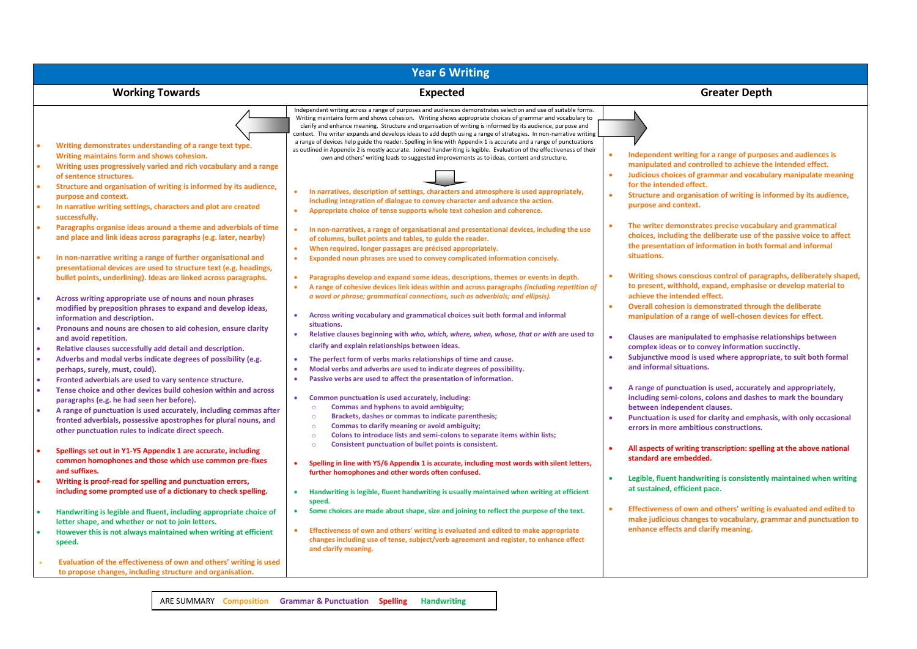| <b>Year 6 Writing</b>                                                                                                                                                                                                                                                                                                                                                                                                                                                                                                                                                                                                                                                                                                                                                                                                                                                                                                                                                                                                                                                                                                                                                                                                                                                                                                                                                                                                                                                                                                                                                                                                                                                                                                                                                                                                                                                                                                                           |                                                                                                                                                                                                                                                                                                                                                                                                                                                                                                                                                                                                                                                                                                                                                                                                                                                                                                                                                                                                                                                                                                                                                                                                                                                                                                                                                                                                                                                                                                                                                                                                                                                                                                                                                                                                                                                                                                                                                                                                                                                                                                                                                                                                                                                                                                                                                                                                                                                                                                                                                                                                                                                                                                                                                                                                                                                                                                                                                                                                                                                    |                                                                                                                                                                                                                                                                                                                                                                                                                                                                                                                                                                                                                                                                                                                                                                                                                                                                                                                                                                                                                                                                                                                                                                                                                                                                                                                                                                                                                                                                                                                                                                                                                                                                                                                                                                                                                                           |  |  |  |  |  |  |
|-------------------------------------------------------------------------------------------------------------------------------------------------------------------------------------------------------------------------------------------------------------------------------------------------------------------------------------------------------------------------------------------------------------------------------------------------------------------------------------------------------------------------------------------------------------------------------------------------------------------------------------------------------------------------------------------------------------------------------------------------------------------------------------------------------------------------------------------------------------------------------------------------------------------------------------------------------------------------------------------------------------------------------------------------------------------------------------------------------------------------------------------------------------------------------------------------------------------------------------------------------------------------------------------------------------------------------------------------------------------------------------------------------------------------------------------------------------------------------------------------------------------------------------------------------------------------------------------------------------------------------------------------------------------------------------------------------------------------------------------------------------------------------------------------------------------------------------------------------------------------------------------------------------------------------------------------|----------------------------------------------------------------------------------------------------------------------------------------------------------------------------------------------------------------------------------------------------------------------------------------------------------------------------------------------------------------------------------------------------------------------------------------------------------------------------------------------------------------------------------------------------------------------------------------------------------------------------------------------------------------------------------------------------------------------------------------------------------------------------------------------------------------------------------------------------------------------------------------------------------------------------------------------------------------------------------------------------------------------------------------------------------------------------------------------------------------------------------------------------------------------------------------------------------------------------------------------------------------------------------------------------------------------------------------------------------------------------------------------------------------------------------------------------------------------------------------------------------------------------------------------------------------------------------------------------------------------------------------------------------------------------------------------------------------------------------------------------------------------------------------------------------------------------------------------------------------------------------------------------------------------------------------------------------------------------------------------------------------------------------------------------------------------------------------------------------------------------------------------------------------------------------------------------------------------------------------------------------------------------------------------------------------------------------------------------------------------------------------------------------------------------------------------------------------------------------------------------------------------------------------------------------------------------------------------------------------------------------------------------------------------------------------------------------------------------------------------------------------------------------------------------------------------------------------------------------------------------------------------------------------------------------------------------------------------------------------------------------------------------------------------------|-------------------------------------------------------------------------------------------------------------------------------------------------------------------------------------------------------------------------------------------------------------------------------------------------------------------------------------------------------------------------------------------------------------------------------------------------------------------------------------------------------------------------------------------------------------------------------------------------------------------------------------------------------------------------------------------------------------------------------------------------------------------------------------------------------------------------------------------------------------------------------------------------------------------------------------------------------------------------------------------------------------------------------------------------------------------------------------------------------------------------------------------------------------------------------------------------------------------------------------------------------------------------------------------------------------------------------------------------------------------------------------------------------------------------------------------------------------------------------------------------------------------------------------------------------------------------------------------------------------------------------------------------------------------------------------------------------------------------------------------------------------------------------------------------------------------------------------------|--|--|--|--|--|--|
| <b>Working Towards</b>                                                                                                                                                                                                                                                                                                                                                                                                                                                                                                                                                                                                                                                                                                                                                                                                                                                                                                                                                                                                                                                                                                                                                                                                                                                                                                                                                                                                                                                                                                                                                                                                                                                                                                                                                                                                                                                                                                                          | <b>Expected</b>                                                                                                                                                                                                                                                                                                                                                                                                                                                                                                                                                                                                                                                                                                                                                                                                                                                                                                                                                                                                                                                                                                                                                                                                                                                                                                                                                                                                                                                                                                                                                                                                                                                                                                                                                                                                                                                                                                                                                                                                                                                                                                                                                                                                                                                                                                                                                                                                                                                                                                                                                                                                                                                                                                                                                                                                                                                                                                                                                                                                                                    | <b>Greater Depth</b>                                                                                                                                                                                                                                                                                                                                                                                                                                                                                                                                                                                                                                                                                                                                                                                                                                                                                                                                                                                                                                                                                                                                                                                                                                                                                                                                                                                                                                                                                                                                                                                                                                                                                                                                                                                                                      |  |  |  |  |  |  |
| Writing demonstrates understanding of a range text type.<br>Writing maintains form and shows cohesion.<br>Writing uses progressively varied and rich vocabulary and a range<br>of sentence structures.<br>Structure and organisation of writing is informed by its audience,<br>purpose and context.<br>In narrative writing settings, characters and plot are created<br>successfully.<br>Paragraphs organise ideas around a theme and adverbials of time<br>and place and link ideas across paragraphs (e.g. later, nearby)<br>In non-narrative writing a range of further organisational and<br>presentational devices are used to structure text (e.g. headings,<br>bullet points, underlining). Ideas are linked across paragraphs.<br>Across writing appropriate use of nouns and noun phrases<br>modified by preposition phrases to expand and develop ideas,<br>information and description.<br>Pronouns and nouns are chosen to aid cohesion, ensure clarity<br>and avoid repetition.<br>Relative clauses successfully add detail and description.<br>Adverbs and modal verbs indicate degrees of possibility (e.g.<br>perhaps, surely, must, could).<br>Fronted adverbials are used to vary sentence structure.<br>Tense choice and other devices build cohesion within and across<br>paragraphs (e.g. he had seen her before).<br>A range of punctuation is used accurately, including commas after<br>fronted adverbials, possessive apostrophes for plural nouns, and<br>other punctuation rules to indicate direct speech.<br>Spellings set out in Y1-Y5 Appendix 1 are accurate, including<br>common homophones and those which use common pre-fixes<br>and suffixes.<br>Writing is proof-read for spelling and punctuation errors,<br>including some prompted use of a dictionary to check spelling.<br>Handwriting is legible and fluent, including appropriate choice of<br>letter shape, and whether or not to join letters. | Independent writing across a range of purposes and audiences demonstrates selection and use of suitable forms.<br>Writing maintains form and shows cohesion. Writing shows appropriate choices of grammar and vocabulary to<br>clarify and enhance meaning. Structure and organisation of writing is informed by its audience, purpose and<br>context. The writer expands and develops ideas to add depth using a range of strategies. In non-narrative writing<br>a range of devices help guide the reader. Spelling in line with Appendix 1 is accurate and a range of punctuations<br>as outlined in Appendix 2 is mostly accurate. Joined handwriting is legible. Evaluation of the effectiveness of their<br>own and others' writing leads to suggested improvements as to ideas, content and structure.<br>In narratives, description of settings, characters and atmosphere is used appropriately,<br>including integration of dialogue to convey character and advance the action.<br>Appropriate choice of tense supports whole text cohesion and coherence.<br>$\bullet$<br>In non-narratives, a range of organisational and presentational devices, including the use<br>$\bullet$<br>of columns, bullet points and tables, to guide the reader.<br>When required, longer passages are précised appropriately.<br>$\bullet$<br>Expanded noun phrases are used to convey complicated information concisely.<br>$\bullet$<br>Paragraphs develop and expand some ideas, descriptions, themes or events in depth.<br>$\bullet$<br>A range of cohesive devices link ideas within and across paragraphs (including repetition of<br>$\bullet$<br>a word or phrase; grammatical connections, such as adverbials; and ellipsis).<br>Across writing vocabulary and grammatical choices suit both formal and informal<br>situations.<br>Relative clauses beginning with who, which, where, when, whose, that or with are used to<br>$\bullet$<br>clarify and explain relationships between ideas.<br>The perfect form of verbs marks relationships of time and cause.<br>Modal verbs and adverbs are used to indicate degrees of possibility.<br>$\bullet$<br>Passive verbs are used to affect the presentation of information.<br>$\bullet$<br>Common punctuation is used accurately, including:<br>$\bullet$<br>Commas and hyphens to avoid ambiguity;<br>$\circ$<br>Brackets, dashes or commas to indicate parenthesis;<br>$\circ$<br>$\circ$<br>Commas to clarify meaning or avoid ambiguity;<br>Colons to introduce lists and semi-colons to separate items within lists;<br>$\circ$<br>Consistent punctuation of bullet points is consistent.<br>$\circ$<br>Spelling in line with Y5/6 Appendix 1 is accurate, including most words with silent letters,<br>$\bullet$<br>further homophones and other words often confused.<br>Handwriting is legible, fluent handwriting is usually maintained when writing at efficient<br>$\bullet$<br>speed.<br>Some choices are made about shape, size and joining to reflect the purpose of the text. | Independent writing for a range of purposes and audiences is<br>manipulated and controlled to achieve the intended effect.<br>Judicious choices of grammar and vocabulary manipulate meaning<br>$\bullet$<br>for the intended effect.<br>Structure and organisation of writing is informed by its audience,<br>$\bullet$<br>purpose and context.<br>The writer demonstrates precise vocabulary and grammatical<br>$\bullet$<br>choices, including the deliberate use of the passive voice to affect<br>the presentation of information in both formal and informal<br>situations.<br>Writing shows conscious control of paragraphs, deliberately shaped,<br>$\bullet$<br>to present, withhold, expand, emphasise or develop material to<br>achieve the intended effect.<br>Overall cohesion is demonstrated through the deliberate<br>$\bullet$<br>manipulation of a range of well-chosen devices for effect.<br>Clauses are manipulated to emphasise relationships between<br>complex ideas or to convey information succinctly.<br>Subjunctive mood is used where appropriate, to suit both formal<br>$\bullet$<br>and informal situations.<br>$\bullet$<br>A range of punctuation is used, accurately and appropriately,<br>including semi-colons, colons and dashes to mark the boundary<br>between independent clauses.<br>Punctuation is used for clarity and emphasis, with only occasional<br>$\bullet$<br>errors in more ambitious constructions.<br>All aspects of writing transcription: spelling at the above national<br>standard are embedded.<br>Legible, fluent handwriting is consistently maintained when writing<br>$\bullet$<br>at sustained, efficient pace.<br>Effectiveness of own and others' writing is evaluated and edited to<br>$\bullet$<br>make judicious changes to vocabulary, grammar and punctuation to |  |  |  |  |  |  |
| However this is not always maintained when writing at efficient<br>speed.                                                                                                                                                                                                                                                                                                                                                                                                                                                                                                                                                                                                                                                                                                                                                                                                                                                                                                                                                                                                                                                                                                                                                                                                                                                                                                                                                                                                                                                                                                                                                                                                                                                                                                                                                                                                                                                                       | Effectiveness of own and others' writing is evaluated and edited to make appropriate<br>changes including use of tense, subject/verb agreement and register, to enhance effect<br>and clarify meaning.                                                                                                                                                                                                                                                                                                                                                                                                                                                                                                                                                                                                                                                                                                                                                                                                                                                                                                                                                                                                                                                                                                                                                                                                                                                                                                                                                                                                                                                                                                                                                                                                                                                                                                                                                                                                                                                                                                                                                                                                                                                                                                                                                                                                                                                                                                                                                                                                                                                                                                                                                                                                                                                                                                                                                                                                                                             | enhance effects and clarify meaning.                                                                                                                                                                                                                                                                                                                                                                                                                                                                                                                                                                                                                                                                                                                                                                                                                                                                                                                                                                                                                                                                                                                                                                                                                                                                                                                                                                                                                                                                                                                                                                                                                                                                                                                                                                                                      |  |  |  |  |  |  |
| Evaluation of the effectiveness of own and others' writing is used<br>to propose changes, including structure and organisation.                                                                                                                                                                                                                                                                                                                                                                                                                                                                                                                                                                                                                                                                                                                                                                                                                                                                                                                                                                                                                                                                                                                                                                                                                                                                                                                                                                                                                                                                                                                                                                                                                                                                                                                                                                                                                 |                                                                                                                                                                                                                                                                                                                                                                                                                                                                                                                                                                                                                                                                                                                                                                                                                                                                                                                                                                                                                                                                                                                                                                                                                                                                                                                                                                                                                                                                                                                                                                                                                                                                                                                                                                                                                                                                                                                                                                                                                                                                                                                                                                                                                                                                                                                                                                                                                                                                                                                                                                                                                                                                                                                                                                                                                                                                                                                                                                                                                                                    |                                                                                                                                                                                                                                                                                                                                                                                                                                                                                                                                                                                                                                                                                                                                                                                                                                                                                                                                                                                                                                                                                                                                                                                                                                                                                                                                                                                                                                                                                                                                                                                                                                                                                                                                                                                                                                           |  |  |  |  |  |  |

ARE SUMMARY **Composition Grammar & Punctuation Spelling Handwriting**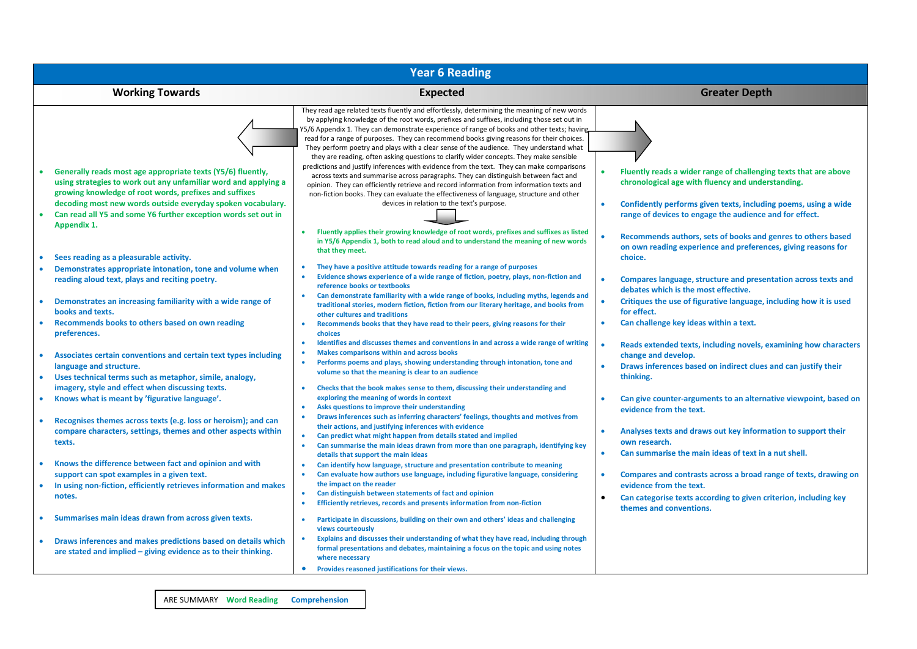| <b>Year 6 Reading</b>                                                                                                                                                                                                                                                                                                                                                                                                                                                                              |                                                                                                                                                                                                                                                                                                                                                                                                                                                                                                                                                                                                                                                                                                                                                                                                                                                                                                                                                                                                                                                                                                                                                                                                                                                                                                                                                                                                                                                                                                                                     |                                                                                                                                                                                                                                                                                                                                                                                                                                                                                                           |  |  |  |  |  |  |
|----------------------------------------------------------------------------------------------------------------------------------------------------------------------------------------------------------------------------------------------------------------------------------------------------------------------------------------------------------------------------------------------------------------------------------------------------------------------------------------------------|-------------------------------------------------------------------------------------------------------------------------------------------------------------------------------------------------------------------------------------------------------------------------------------------------------------------------------------------------------------------------------------------------------------------------------------------------------------------------------------------------------------------------------------------------------------------------------------------------------------------------------------------------------------------------------------------------------------------------------------------------------------------------------------------------------------------------------------------------------------------------------------------------------------------------------------------------------------------------------------------------------------------------------------------------------------------------------------------------------------------------------------------------------------------------------------------------------------------------------------------------------------------------------------------------------------------------------------------------------------------------------------------------------------------------------------------------------------------------------------------------------------------------------------|-----------------------------------------------------------------------------------------------------------------------------------------------------------------------------------------------------------------------------------------------------------------------------------------------------------------------------------------------------------------------------------------------------------------------------------------------------------------------------------------------------------|--|--|--|--|--|--|
| <b>Working Towards</b>                                                                                                                                                                                                                                                                                                                                                                                                                                                                             | <b>Expected</b>                                                                                                                                                                                                                                                                                                                                                                                                                                                                                                                                                                                                                                                                                                                                                                                                                                                                                                                                                                                                                                                                                                                                                                                                                                                                                                                                                                                                                                                                                                                     | <b>Greater Depth</b>                                                                                                                                                                                                                                                                                                                                                                                                                                                                                      |  |  |  |  |  |  |
| Generally reads most age appropriate texts (Y5/6) fluently,<br>using strategies to work out any unfamiliar word and applying a<br>growing knowledge of root words, prefixes and suffixes<br>decoding most new words outside everyday spoken vocabulary.<br>Can read all Y5 and some Y6 further exception words set out in<br>Appendix 1.<br>Sees reading as a pleasurable activity.<br>Demonstrates appropriate intonation, tone and volume when<br>reading aloud text, plays and reciting poetry. | They read age related texts fluently and effortlessly, determining the meaning of new words<br>by applying knowledge of the root words, prefixes and suffixes, including those set out in<br>Y5/6 Appendix 1. They can demonstrate experience of range of books and other texts; having<br>read for a range of purposes. They can recommend books giving reasons for their choices.<br>They perform poetry and plays with a clear sense of the audience. They understand what<br>they are reading, often asking questions to clarify wider concepts. They make sensible<br>predictions and justify inferences with evidence from the text. They can make comparisons<br>across texts and summarise across paragraphs. They can distinguish between fact and<br>opinion. They can efficiently retrieve and record information from information texts and<br>non-fiction books. They can evaluate the effectiveness of language, structure and other<br>devices in relation to the text's purpose.<br>Fluently applies their growing knowledge of root words, prefixes and suffixes as listed<br>$\bullet$<br>in Y5/6 Appendix 1, both to read aloud and to understand the meaning of new words<br>that they meet.<br>They have a positive attitude towards reading for a range of purposes<br>Evidence shows experience of a wide range of fiction, poetry, plays, non-fiction and<br>$\bullet$<br>reference books or textbooks<br>Can demonstrate familiarity with a wide range of books, including myths, legends and<br>$\bullet$ | Fluently reads a wider range of challenging texts that are above<br>chronological age with fluency and understanding.<br>Confidently performs given texts, including poems, using a wide<br>range of devices to engage the audience and for effect.<br>Recommends authors, sets of books and genres to others based<br>on own reading experience and preferences, giving reasons for<br>choice.<br>Compares language, structure and presentation across texts and<br>debates which is the most effective. |  |  |  |  |  |  |
| Demonstrates an increasing familiarity with a wide range of<br>books and texts.                                                                                                                                                                                                                                                                                                                                                                                                                    | traditional stories, modern fiction, fiction from our literary heritage, and books from<br>other cultures and traditions                                                                                                                                                                                                                                                                                                                                                                                                                                                                                                                                                                                                                                                                                                                                                                                                                                                                                                                                                                                                                                                                                                                                                                                                                                                                                                                                                                                                            | Critiques the use of figurative language, including how it is used<br>$\bullet$<br>for effect.                                                                                                                                                                                                                                                                                                                                                                                                            |  |  |  |  |  |  |
| Recommends books to others based on own reading<br>preferences.                                                                                                                                                                                                                                                                                                                                                                                                                                    | Recommends books that they have read to their peers, giving reasons for their<br>$\bullet$<br>choices<br>Identifies and discusses themes and conventions in and across a wide range of writing<br>$\bullet$                                                                                                                                                                                                                                                                                                                                                                                                                                                                                                                                                                                                                                                                                                                                                                                                                                                                                                                                                                                                                                                                                                                                                                                                                                                                                                                         | Can challenge key ideas within a text.<br>Reads extended texts, including novels, examining how characters                                                                                                                                                                                                                                                                                                                                                                                                |  |  |  |  |  |  |
| Associates certain conventions and certain text types including<br>language and structure.<br>Uses technical terms such as metaphor, simile, analogy,<br>$\bullet$                                                                                                                                                                                                                                                                                                                                 | <b>Makes comparisons within and across books</b><br>$\bullet$<br>Performs poems and plays, showing understanding through intonation, tone and<br>$\bullet$<br>volume so that the meaning is clear to an audience                                                                                                                                                                                                                                                                                                                                                                                                                                                                                                                                                                                                                                                                                                                                                                                                                                                                                                                                                                                                                                                                                                                                                                                                                                                                                                                    | change and develop.<br>Draws inferences based on indirect clues and can justify their<br>thinking.                                                                                                                                                                                                                                                                                                                                                                                                        |  |  |  |  |  |  |
| imagery, style and effect when discussing texts.<br>Knows what is meant by 'figurative language'.                                                                                                                                                                                                                                                                                                                                                                                                  | Checks that the book makes sense to them, discussing their understanding and<br>$\bullet$<br>exploring the meaning of words in context<br>Asks questions to improve their understanding<br>Draws inferences such as inferring characters' feelings, thoughts and motives from<br>$\bullet$                                                                                                                                                                                                                                                                                                                                                                                                                                                                                                                                                                                                                                                                                                                                                                                                                                                                                                                                                                                                                                                                                                                                                                                                                                          | Can give counter-arguments to an alternative viewpoint, based on<br>evidence from the text.                                                                                                                                                                                                                                                                                                                                                                                                               |  |  |  |  |  |  |
| Recognises themes across texts (e.g. loss or heroism); and can<br>compare characters, settings, themes and other aspects within<br>texts.                                                                                                                                                                                                                                                                                                                                                          | their actions, and justifying inferences with evidence<br>Can predict what might happen from details stated and implied<br>$\bullet$<br>Can summarise the main ideas drawn from more than one paragraph, identifying key<br>$\bullet$<br>details that support the main ideas                                                                                                                                                                                                                                                                                                                                                                                                                                                                                                                                                                                                                                                                                                                                                                                                                                                                                                                                                                                                                                                                                                                                                                                                                                                        | Analyses texts and draws out key information to support their<br>own research.<br>Can summarise the main ideas of text in a nut shell.<br>$\bullet$                                                                                                                                                                                                                                                                                                                                                       |  |  |  |  |  |  |
| Knows the difference between fact and opinion and with<br>support can spot examples in a given text.<br>In using non-fiction, efficiently retrieves information and makes<br>notes.                                                                                                                                                                                                                                                                                                                | Can identify how language, structure and presentation contribute to meaning<br>$\bullet$<br>Can evaluate how authors use language, including figurative language, considering<br>the impact on the reader<br>Can distinguish between statements of fact and opinion<br>$\bullet$<br>Efficiently retrieves, records and presents information from non-fiction<br>$\bullet$                                                                                                                                                                                                                                                                                                                                                                                                                                                                                                                                                                                                                                                                                                                                                                                                                                                                                                                                                                                                                                                                                                                                                           | Compares and contrasts across a broad range of texts, drawing on<br>evidence from the text.<br>Can categorise texts according to given criterion, including key                                                                                                                                                                                                                                                                                                                                           |  |  |  |  |  |  |
| Summarises main ideas drawn from across given texts.                                                                                                                                                                                                                                                                                                                                                                                                                                               | Participate in discussions, building on their own and others' ideas and challenging<br>$\bullet$<br>views courteously                                                                                                                                                                                                                                                                                                                                                                                                                                                                                                                                                                                                                                                                                                                                                                                                                                                                                                                                                                                                                                                                                                                                                                                                                                                                                                                                                                                                               | themes and conventions.                                                                                                                                                                                                                                                                                                                                                                                                                                                                                   |  |  |  |  |  |  |
| Draws inferences and makes predictions based on details which<br>are stated and implied – giving evidence as to their thinking.                                                                                                                                                                                                                                                                                                                                                                    | Explains and discusses their understanding of what they have read, including through<br>formal presentations and debates, maintaining a focus on the topic and using notes<br>where necessary<br>Provides reasoned justifications for their views.<br>$\bullet$                                                                                                                                                                                                                                                                                                                                                                                                                                                                                                                                                                                                                                                                                                                                                                                                                                                                                                                                                                                                                                                                                                                                                                                                                                                                     |                                                                                                                                                                                                                                                                                                                                                                                                                                                                                                           |  |  |  |  |  |  |
|                                                                                                                                                                                                                                                                                                                                                                                                                                                                                                    |                                                                                                                                                                                                                                                                                                                                                                                                                                                                                                                                                                                                                                                                                                                                                                                                                                                                                                                                                                                                                                                                                                                                                                                                                                                                                                                                                                                                                                                                                                                                     |                                                                                                                                                                                                                                                                                                                                                                                                                                                                                                           |  |  |  |  |  |  |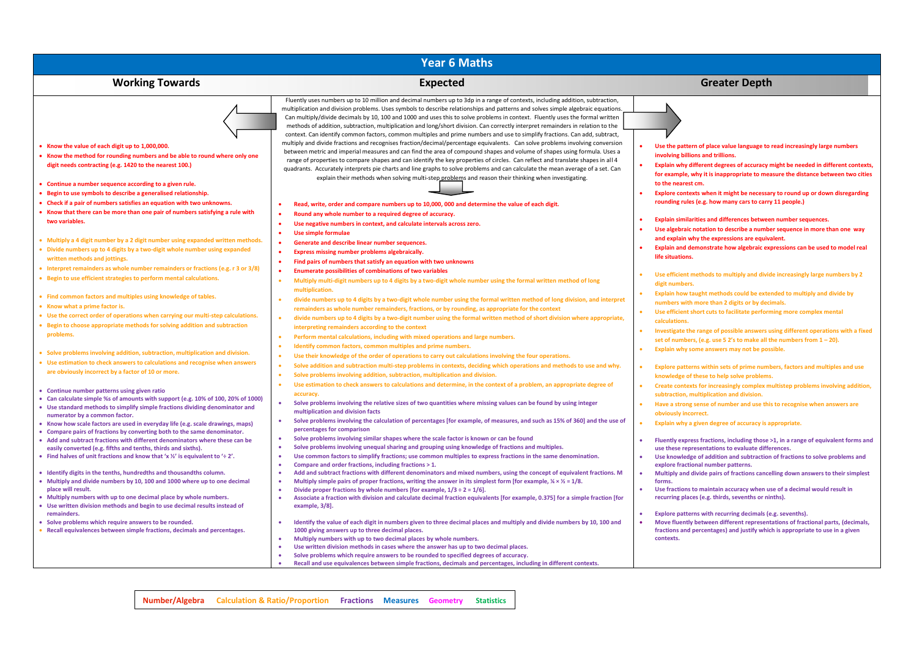| <b>Working Towards</b>                                                                                                                                                                                                                                                                                                                                                                                                                                                                            | <b>Expected</b>                                                                                                                                                                                                                                                                                                                                                                                                                                                                                                                                                                                                                                                                                                                                                                                                                                                                                                                                                                                              | <b>Greater Depth</b>                                                                                                                                                                                                                                                                                                                                                                                                                                                                                                      |
|---------------------------------------------------------------------------------------------------------------------------------------------------------------------------------------------------------------------------------------------------------------------------------------------------------------------------------------------------------------------------------------------------------------------------------------------------------------------------------------------------|--------------------------------------------------------------------------------------------------------------------------------------------------------------------------------------------------------------------------------------------------------------------------------------------------------------------------------------------------------------------------------------------------------------------------------------------------------------------------------------------------------------------------------------------------------------------------------------------------------------------------------------------------------------------------------------------------------------------------------------------------------------------------------------------------------------------------------------------------------------------------------------------------------------------------------------------------------------------------------------------------------------|---------------------------------------------------------------------------------------------------------------------------------------------------------------------------------------------------------------------------------------------------------------------------------------------------------------------------------------------------------------------------------------------------------------------------------------------------------------------------------------------------------------------------|
|                                                                                                                                                                                                                                                                                                                                                                                                                                                                                                   | Fluently uses numbers up to 10 million and decimal numbers up to 3dp in a range of contexts, including addition, subtraction,                                                                                                                                                                                                                                                                                                                                                                                                                                                                                                                                                                                                                                                                                                                                                                                                                                                                                |                                                                                                                                                                                                                                                                                                                                                                                                                                                                                                                           |
|                                                                                                                                                                                                                                                                                                                                                                                                                                                                                                   | multiplication and division problems. Uses symbols to describe relationships and patterns and solves simple algebraic equations.<br>Can multiply/divide decimals by 10, 100 and 1000 and uses this to solve problems in context. Fluently uses the formal written<br>methods of addition, subtraction, multiplication and long/short division. Can correctly interpret remainders in relation to the                                                                                                                                                                                                                                                                                                                                                                                                                                                                                                                                                                                                         |                                                                                                                                                                                                                                                                                                                                                                                                                                                                                                                           |
| • Know the value of each digit up to 1,000,000.<br>• Know the method for rounding numbers and be able to round where only one<br>digit needs contracting (e.g. 1420 to the nearest 100.)<br>• Continue a number sequence according to a given rule.<br>• Begin to use symbols to describe a generalised relationship.<br>• Check if a pair of numbers satisfies an equation with two unknowns.<br>• Know that there can be more than one pair of numbers satisfying a rule with<br>two variables. | context. Can identify common factors, common multiples and prime numbers and use to simplify fractions. Can add, subtract,<br>multiply and divide fractions and recognises fraction/decimal/percentage equivalents. Can solve problems involving conversion<br>between metric and imperial measures and can find the area of compound shapes and volume of shapes using formula. Uses a<br>range of properties to compare shapes and can identify the key properties of circles. Can reflect and translate shapes in all 4<br>quadrants. Accurately interprets pie charts and line graphs to solve problems and can calculate the mean average of a set. Can<br>explain their methods when solving multi-step problems and reason their thinking when investigating.<br>Read, write, order and compare numbers up to 10,000, 000 and determine the value of each digit.<br>Round any whole number to a required degree of accuracy.<br>Use negative numbers in context, and calculate intervals across zero. | Use the pattern of place value language to read increasingly large numbers<br>involving billions and trillions.<br>Explain why different degrees of accuracy might be needed in different contexts,<br>for example, why it is inappropriate to measure the distance between two cities<br>to the nearest cm.<br>Explore contexts when it might be necessary to round up or down disregarding<br>rounding rules (e.g. how many cars to carry 11 people.)<br>Explain similarities and differences between number sequences. |
| • Multiply a 4 digit number by a 2 digit number using expanded written methods.<br>• Divide numbers up to 4 digits by a two-digit whole number using expanded<br>written methods and jottings.<br>• Interpret remainders as whole number remainders or fractions (e.g. r 3 or 3/8)<br>• Begin to use efficient strategies to perform mental calculations.                                                                                                                                         | Use simple formulae<br>۰<br>Generate and describe linear number sequences.<br>Express missing number problems algebraically.<br>٠<br>Find pairs of numbers that satisfy an equation with two unknowns<br><b>Enumerate possibilities of combinations of two variables</b>                                                                                                                                                                                                                                                                                                                                                                                                                                                                                                                                                                                                                                                                                                                                     | Use algebraic notation to describe a number sequence in more than one way<br>and explain why the expressions are equivalent.<br>Explain and demonstrate how algebraic expressions can be used to model real<br>life situations.<br>Use efficient methods to multiply and divide increasingly large numbers by 2                                                                                                                                                                                                           |
| • Find common factors and multiples using knowledge of tables.<br>• Know what a prime factor is.<br>• Use the correct order of operations when carrying our multi-step calculations.<br>• Begin to choose appropriate methods for solving addition and subtraction<br>problems.                                                                                                                                                                                                                   | Multiply multi-digit numbers up to 4 digits by a two-digit whole number using the formal written method of long<br>ò<br>multiplication.<br>divide numbers up to 4 digits by a two-digit whole number using the formal written method of long division, and interpret<br>remainders as whole number remainders, fractions, or by rounding, as appropriate for the context<br>divide numbers up to 4 digits by a two-digit number using the formal written method of short division where appropriate,<br>interpreting remainders according to the context<br>۰<br>Perform mental calculations, including with mixed operations and large numbers.                                                                                                                                                                                                                                                                                                                                                             | digit numbers.<br>Explain how taught methods could be extended to multiply and divide by<br>numbers with more than 2 digits or by decimals.<br>Use efficient short cuts to facilitate performing more complex mental<br>calculations.<br>Investigate the range of possible answers using different operations with a fixed                                                                                                                                                                                                |
| • Solve problems involving addition, subtraction, multiplication and division.<br>• Use estimation to check answers to calculations and recognise when answers<br>are obviously incorrect by a factor of 10 or more.                                                                                                                                                                                                                                                                              | Identify common factors, common multiples and prime numbers.<br>Use their knowledge of the order of operations to carry out calculations involving the four operations.<br>۰<br>Solve addition and subtraction multi-step problems in contexts, deciding which operations and methods to use and why.<br>٠<br>Solve problems involving addition, subtraction, multiplication and division.<br>۰                                                                                                                                                                                                                                                                                                                                                                                                                                                                                                                                                                                                              | set of numbers, (e.g. use 5 2's to make all the numbers from $1 - 20$ ).<br>Explain why some answers may not be possible.<br>Explore patterns within sets of prime numbers, factors and multiples and use<br>knowledge of these to help solve problems.                                                                                                                                                                                                                                                                   |
| • Continue number patterns using given ratio<br>• Can calculate simple %s of amounts with support (e.g. 10% of 100, 20% of 1000)<br>• Use standard methods to simplify simple fractions dividing denominator and<br>numerator by a common factor.<br>• Know how scale factors are used in everyday life (e.g. scale drawings, maps)<br>• Compare pairs of fractions by converting both to the same denominator.                                                                                   | ò.<br>Use estimation to check answers to calculations and determine, in the context of a problem, an appropriate degree of<br>accuracy.<br>Solve problems involving the relative sizes of two quantities where missing values can be found by using integer<br>$\bullet$<br>multiplication and division facts<br>Solve problems involving the calculation of percentages [for example, of measures, and such as 15% of 360] and the use of<br>percentages for comparison<br>Solve problems involving similar shapes where the scale factor is known or can be found<br>٠                                                                                                                                                                                                                                                                                                                                                                                                                                     | Create contexts for increasingly complex multistep problems involving addition,<br>subtraction, multiplication and division.<br>Have a strong sense of number and use this to recognise when answers are<br>obviously incorrect.<br>Explain why a given degree of accuracy is appropriate.                                                                                                                                                                                                                                |
| • Add and subtract fractions with different denominators where these can be<br>easily converted (e.g. fifths and tenths, thirds and sixths).<br>• Find halves of unit fractions and know that 'x $\frac{1}{2}$ ' is equivalent to '÷ 2'.                                                                                                                                                                                                                                                          | ۰<br>Solve problems involving unequal sharing and grouping using knowledge of fractions and multiples.<br>Use common factors to simplify fractions; use common multiples to express fractions in the same denomination.<br>۰<br>Compare and order fractions, including fractions > 1.                                                                                                                                                                                                                                                                                                                                                                                                                                                                                                                                                                                                                                                                                                                        | Fluently express fractions, including those >1, in a range of equivalent forms and<br>use these representations to evaluate differences.<br>Use knowledge of addition and subtraction of fractions to solve problems and<br>explore fractional number patterns.                                                                                                                                                                                                                                                           |
| • Identify digits in the tenths, hundredths and thousandths column.<br>• Multiply and divide numbers by 10, 100 and 1000 where up to one decimal<br>place will result.<br>• Multiply numbers with up to one decimal place by whole numbers.<br>• Use written division methods and begin to use decimal results instead of                                                                                                                                                                         | Add and subtract fractions with different denominators and mixed numbers, using the concept of equivalent fractions. M<br>ò<br>Multiply simple pairs of proper fractions, writing the answer in its simplest form [for example, $\frac{1}{4} \times \frac{1}{2} = 1/8$ .<br>۰<br>Divide proper fractions by whole numbers [for example, $1/3 \div 2 = 1/6$ ].<br>Associate a fraction with division and calculate decimal fraction equivalents [for example, 0.375] for a simple fraction [for<br>۰<br>example, 3/8].                                                                                                                                                                                                                                                                                                                                                                                                                                                                                        | Multiply and divide pairs of fractions cancelling down answers to their simplest<br>forms.<br>Use fractions to maintain accuracy when use of a decimal would result in<br>recurring places (e.g. thirds, sevenths or ninths).                                                                                                                                                                                                                                                                                             |
| remainders.<br>• Solve problems which require answers to be rounded.<br>• Recall equivalences between simple fractions, decimals and percentages.                                                                                                                                                                                                                                                                                                                                                 | ۰<br>Identify the value of each digit in numbers given to three decimal places and multiply and divide numbers by 10, 100 and<br>1000 giving answers up to three decimal places.<br>Multiply numbers with up to two decimal places by whole numbers.                                                                                                                                                                                                                                                                                                                                                                                                                                                                                                                                                                                                                                                                                                                                                         | Explore patterns with recurring decimals (e.g. sevenths).<br>Move fluently between different representations of fractional parts, (decimals,<br>fractions and percentages) and justify which is appropriate to use in a given<br>contexts.                                                                                                                                                                                                                                                                                |